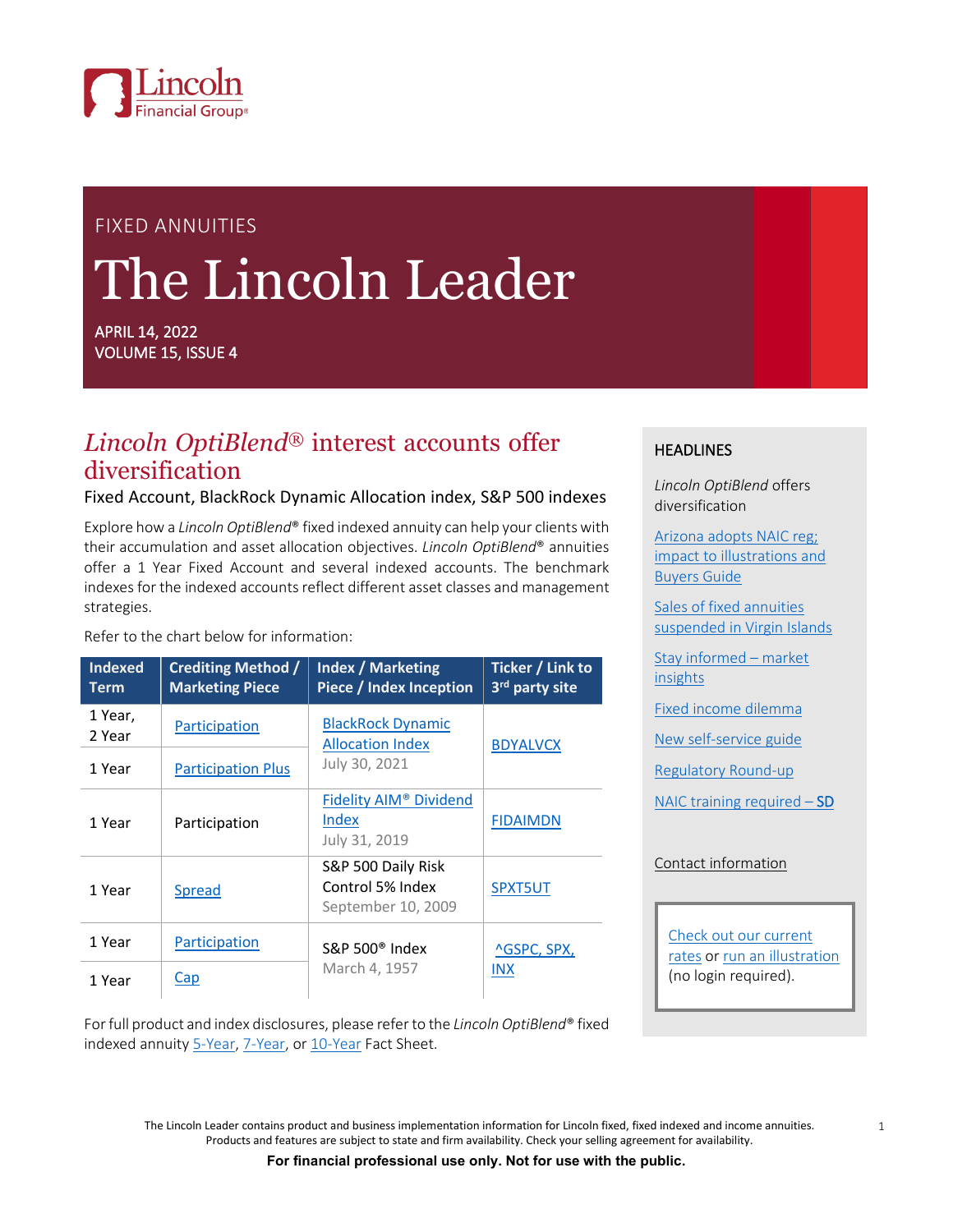

# FIXED ANNUITIES The Lincoln Leader

APRIL 14, 2022 VOLUME 15, ISSUE 4

# *Lincoln OptiBlend®* interest accounts offer diversification

#### Fixed Account, BlackRock Dynamic Allocation index, S&P 500 indexes

Explore how a *Lincoln OptiBlend*® fixed indexed annuity can help your clients with their accumulation and asset allocation objectives. *Lincoln OptiBlend*® annuities offer a 1 Year Fixed Account and several indexed accounts. The benchmark indexes for the indexed accounts reflect different asset classes and management strategies.

Refer to the chart below for information:

| <b>Indexed</b><br><b>Term</b> | <b>Crediting Method /</b><br><b>Marketing Piece</b> | <b>Index / Marketing</b><br>Piece / Index Inception          | Ticker / Link to<br>3rd party site |  |
|-------------------------------|-----------------------------------------------------|--------------------------------------------------------------|------------------------------------|--|
| 1 Year,<br>2 Year             | Participation                                       | <b>BlackRock Dynamic</b><br><b>Allocation Index</b>          | <b>BDYALVCX</b>                    |  |
| 1 Year                        | <b>Participation Plus</b>                           | July 30, 2021                                                |                                    |  |
| 1 Year                        | Participation                                       | Fidelity AIM <sup>®</sup> Dividend<br>Index<br>July 31, 2019 | <b>FIDAIMDN</b>                    |  |
| 1 Year                        | <b>Spread</b>                                       | S&P 500 Daily Risk<br>Control 5% Index<br>September 10, 2009 | SPXT5UT                            |  |
| 1 Year                        | Participation                                       | $S\&P 500^{\circ}$ Index                                     | ^GSPC, SPX,<br><b>INX</b>          |  |
| 1 Year                        | Cap                                                 | March 4, 1957                                                |                                    |  |

#### **HEADLINES**

*Lincoln OptiBlend* offers diversification

[Arizona adopts NAIC reg;](#page-1-0)  [impact to illustrations and](#page-1-0)  [Buyers Guide](#page-1-0)

[Sales of fixed annuities](#page-1-1)  [suspended in Virgin Islands](#page-1-1)

[Stay informed – market](#page-2-0)  [insights](#page-2-0)

[Fixed income dilemma](#page-2-1)

[New self-service guide](#page-3-0)

[Regulatory Round-up](#page-3-1)

[NAIC training required – SD](#page-4-0)

#### [Contact information](#page-5-0)

[Check out our current](https://visit.lfg.com/FA-ALL-RST003)  [rates](https://visit.lfg.com/FA-ALL-RST003) o[r run an illustration](https://www.lfg.com/public/mgaattestation) (no login required).

For full product and index disclosures, please refer to the *Lincoln OptiBlend*® fixed indexed annuity [5-Year,](https://visit.lfg.com/FA-OB5-FST001) [7-Year,](https://visit.lfg.com/FA-OB7-FST001) o[r 10-Year](https://visit.lfg.com/FA-OB10-FST001) Fact Sheet.

> The Lincoln Leader contains product and business implementation information for Lincoln fixed, fixed indexed and income annuities. Products and features are subject to state and firm availability. Check your selling agreement for availability.

> > **For financial professional use only. Not for use with the public.**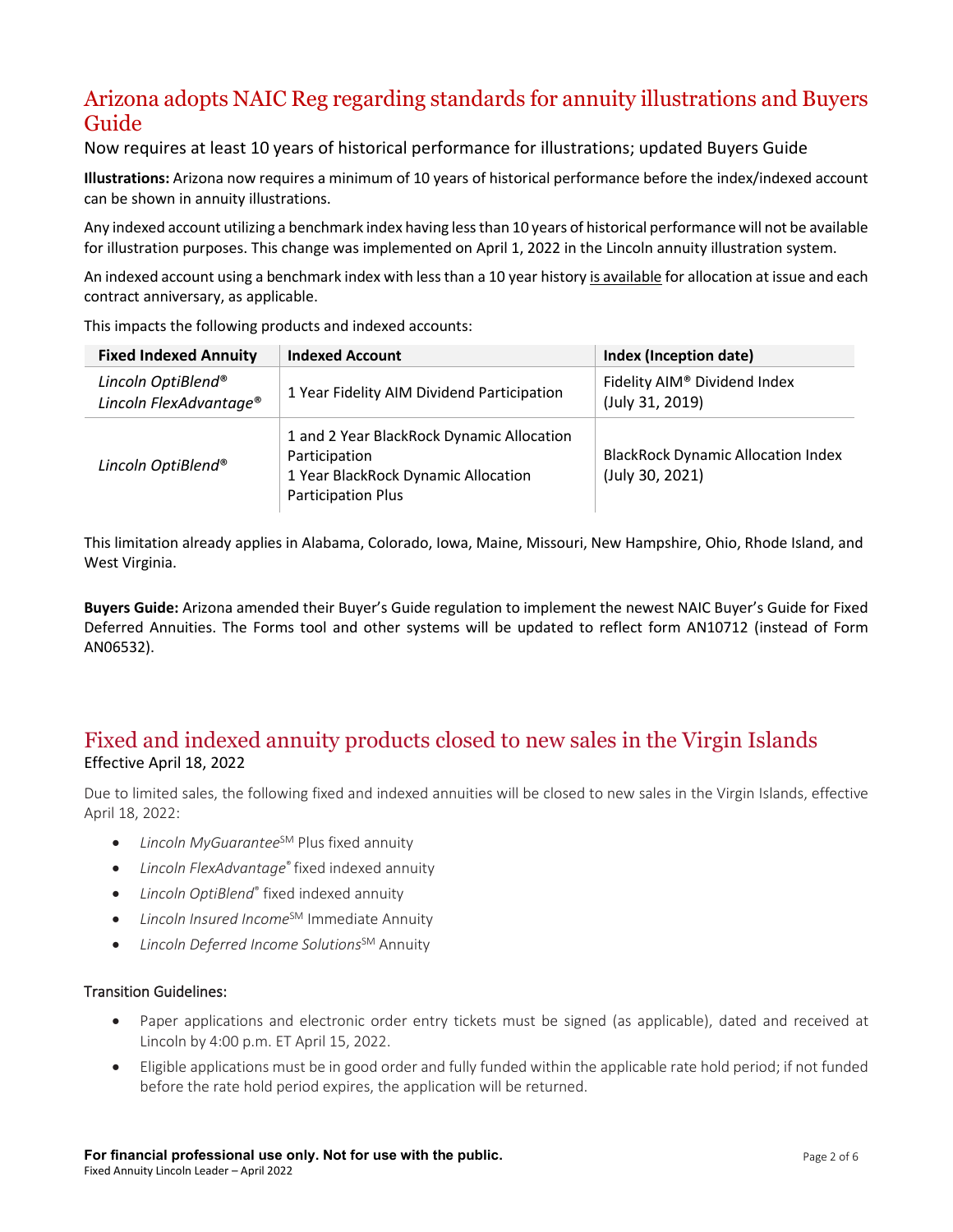# <span id="page-1-0"></span>Arizona adopts NAIC Reg regarding standards for annuity illustrations and Buyers Guide

Now requires at least 10 years of historical performance for illustrations; updated Buyers Guide

**Illustrations:** Arizona now requires a minimum of 10 years of historical performance before the index/indexed account can be shown in annuity illustrations.

Any indexed account utilizing a benchmark index having less than 10 years of historical performance will not be available for illustration purposes. This change was implemented on April 1, 2022 in the Lincoln annuity illustration system.

An indexed account using a benchmark index with less than a 10 year history is available for allocation at issue and each contract anniversary, as applicable.

| <b>Fixed Indexed Annuity</b>                             | <b>Indexed Account</b>                                                                                                         | <b>Index (Inception date)</b>                                |  |
|----------------------------------------------------------|--------------------------------------------------------------------------------------------------------------------------------|--------------------------------------------------------------|--|
| Lincoln OptiBlend®<br>Lincoln FlexAdvantage <sup>®</sup> | 1 Year Fidelity AIM Dividend Participation                                                                                     | Fidelity AIM® Dividend Index<br>(July 31, 2019)              |  |
| Lincoln OptiBlend®                                       | 1 and 2 Year BlackRock Dynamic Allocation<br>Participation<br>1 Year BlackRock Dynamic Allocation<br><b>Participation Plus</b> | <b>BlackRock Dynamic Allocation Index</b><br>(July 30, 2021) |  |

This impacts the following products and indexed accounts:

This limitation already applies in Alabama, Colorado, Iowa, Maine, Missouri, New Hampshire, Ohio, Rhode Island, and West Virginia.

**Buyers Guide:** Arizona amended their Buyer's Guide regulation to implement the newest NAIC Buyer's Guide for Fixed Deferred Annuities. The Forms tool and other systems will be updated to reflect form AN10712 (instead of Form AN06532).

### <span id="page-1-1"></span>Fixed and indexed annuity products closed to new sales in the Virgin Islands Effective April 18, 2022

Due to limited sales, the following fixed and indexed annuities will be closed to new sales in the Virgin Islands, effective April 18, 2022:

- *Lincoln MyGuarantee<sup>SM</sup>* Plus fixed annuity
- *Lincoln FlexAdvantage*® fixed indexed annuity
- *Lincoln OptiBlend*® fixed indexed annuity
- *Lincoln Insured Income*SM Immediate Annuity
- *Lincoln Deferred Income Solutions*SM Annuity

#### Transition Guidelines:

- Paper applications and electronic order entry tickets must be signed (as applicable), dated and received at Lincoln by 4:00 p.m. ET April 15, 2022.
- Eligible applications must be in good order and fully funded within the applicable rate hold period; if not funded before the rate hold period expires, the application will be returned.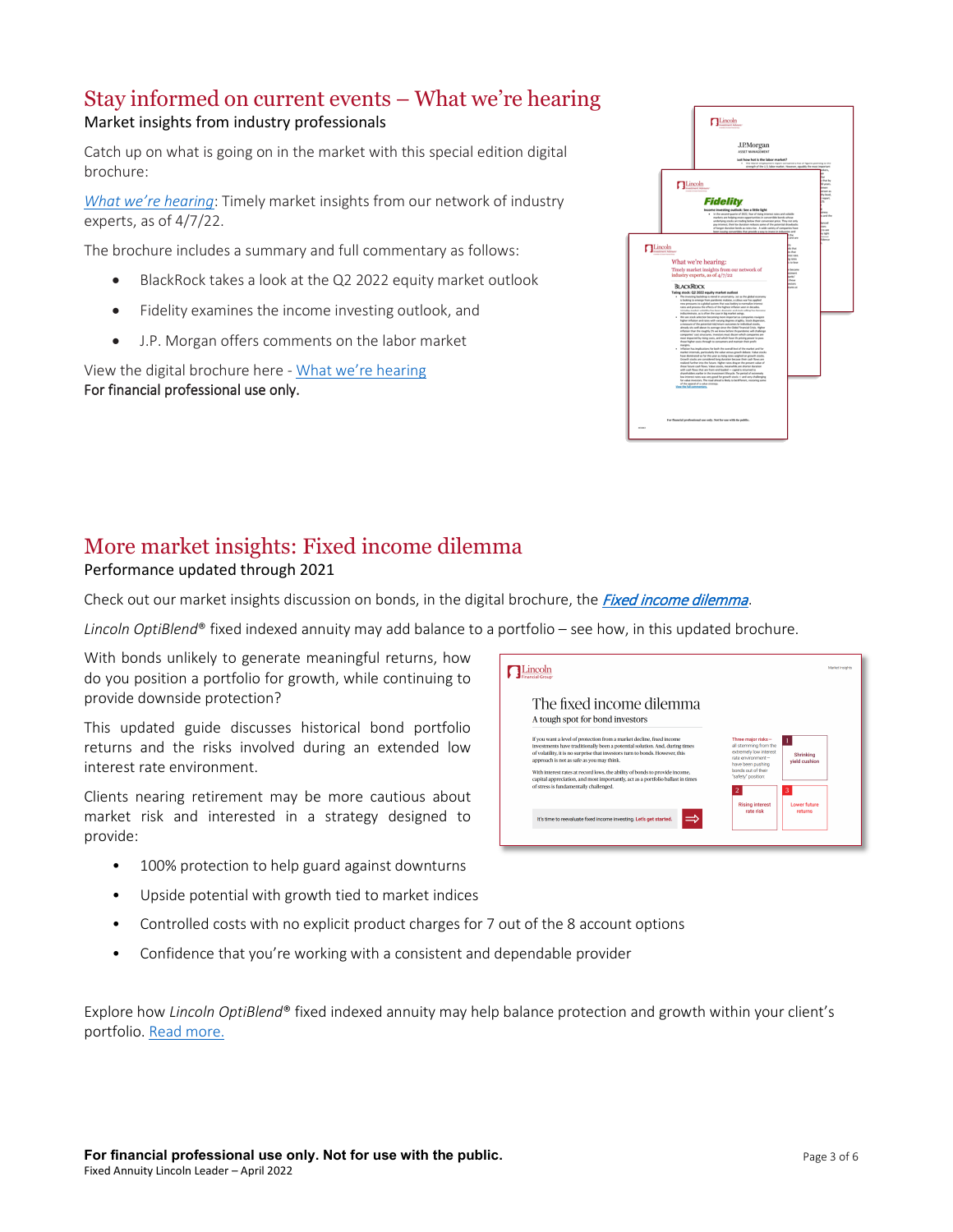#### <span id="page-2-0"></span>Stay informed on current events – What we're hearing Market insights from industry professionals

Catch up on what is going on in the market with this special edition digital brochure:

*[What we're hearing](https://visit.lfg.com/FMM-FPCOM-FLI001)*: Timely market insights from our network of industry experts, as of 4/7/22.

The brochure includes a summary and full commentary as follows:

- BlackRock takes a look at the Q2 2022 equity market outlook
- Fidelity examines the income investing outlook, and
- J.P. Morgan offers comments on the labor market

View the digital brochure here - [What we're hearing](https://visit.lfg.com/FMM-FPCOM-FLI001) For financial professional use only.



# <span id="page-2-1"></span>More market insights: Fixed income dilemma

#### Performance updated through 2021

Check out our market insights [discussion on bonds, in the](https://cdn1-originals.webdamdb.com/13193_126733411?cache=1646836292&response-content-disposition=inline;filename=FA-OBBON-BRC001_FINAL.pdf&response-content-type=application/pdf&Policy=eyJTdGF0ZW1lbnQiOlt7IlJlc291cmNlIjoiaHR0cCo6Ly9jZG4xLW9yaWdpbmFscy53ZWJkYW1kYi5jb20vMTMxOTNfMTI2NzMzNDExP2NhY2hlPTE2NDY4MzYyOTImcmVzcG9uc2UtY29udGVudC1kaXNwb3NpdGlvbj1pbmxpbmU7ZmlsZW5hbWU9RkEtT0JCT04tQlJDMDAxX0ZJTkFMLnBkZiZyZXNwb25zZS1jb250ZW50LXR5cGU9YXBwbGljYXRpb24vcGRmIiwiQ29uZGl0aW9uIjp7IkRhdGVMZXNzVGhhbiI6eyJBV1M6RXBvY2hUaW1lIjoyMTQ3NDE0NDAwfX19XX0_&Signature=a%7EF0eR84w6U%7E7Tj6CJau0gOui0Qlpk%7EbomCIPNQrkK-TO5FmAKqy1LJWk88Ba%7E49AjILB3HkM0UVBHi8v7kYyGWQtjMQNUgI6J4hhmupaMq0Qq0z7-QA3in7dd6bzpFlguEYeG9WJoykai6dlTnEb9hb-FO30IwIukiSQjpJvD9DquNjt23Qh4xb8m9iNbrZP0uvCR7WM1SapxROYDV1XhlpCbXruEd91vMiRS9rHzwVUjuK23IsyZhFj6kcxfaUeR3NTTrhSIJsD51D1vFAnf%7Eikzhzeh3AL9CUidVfOfRjRs5YZ4tRo1xP5PHT5pkb5cRk54hHqKYUF1r59rNNpA__&Key-Pair-Id=APKAI2ASI2IOLRFF2RHA) digital brochure, the [Fixed income dilemma](https://visit.lfg.com/FA-OBBON-BRC001).

*Lincoln OptiBlend*® fixed indexed annuity may add balance to a portfolio – see how, in this updated brochure.

With bonds unlikely to generate meaningful returns, how do you position a portfolio for growth, while continuing to provide downside protection?

This updated guide discusses historical bond portfolio returns and the risks involved during an extended low interest rate environment.

Clients nearing retirement may be more cautious about market risk and interested in a strategy designed to provide:

- 100% protection to help guard against downturns
- Upside potential with growth tied to market indices
- Controlled costs with no explicit product charges for 7 out of the 8 account options
- Confidence that you're working with a consistent and dependable provider

Explore how *Lincoln OptiBlend*® fixed indexed annuity may help balance protection and growth within your client's portfolio[. Read more.](https://visit.lfg.com/FA-OBBON-BRC001)

| The fixed income dilemma<br>A tough spot for bond investors                                                                                                                                                                                                                                                                                                                                                                                                                                   |                                                                                                                                                                                                |
|-----------------------------------------------------------------------------------------------------------------------------------------------------------------------------------------------------------------------------------------------------------------------------------------------------------------------------------------------------------------------------------------------------------------------------------------------------------------------------------------------|------------------------------------------------------------------------------------------------------------------------------------------------------------------------------------------------|
| If you want a level of protection from a market decline, fixed income<br>investments have traditionally been a potential solution. And, during times<br>of volatility, it is no surprise that investors turn to bonds. However, this<br>approach is not as safe as you may think.<br>With interest rates at record lows, the ability of bonds to provide income,<br>capital appreciation, and most importantly, act as a portfolio ballast in times<br>of stress is fundamentally challenged. | Three major risks-<br>all stemming from the<br>extremely low interest<br>Shrinking<br>rate environment-<br>vield cushion<br>have been pushing<br>bonds out of their<br>"safety" position:<br>3 |
| It's time to reevaluate fixed income investing. Let's get started.                                                                                                                                                                                                                                                                                                                                                                                                                            | Lower future<br><b>Rising interest</b><br>rate rick<br>returns                                                                                                                                 |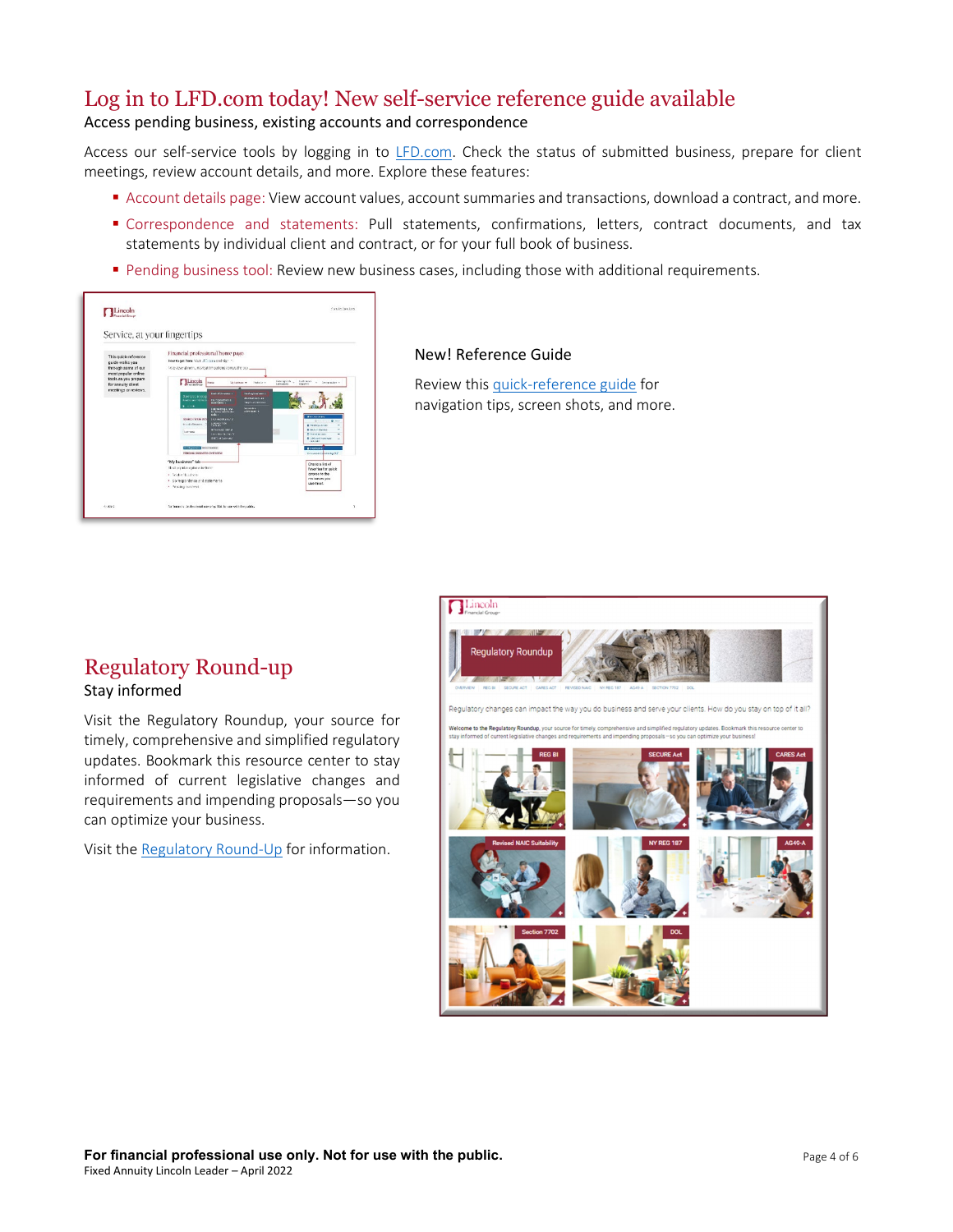# <span id="page-3-0"></span>Log in to LFD.com today! New self-service reference guide available

#### Access pending business, existing accounts and correspondence

Access our self-service tools by logging in to [LFD.com.](https://www.lincolnfinancial.com/public/professionals/partnerwithus/lincolnfinancialdistributors) Check the status of submitted business, prepare for client meetings, review account details, and more. Explore these features:

- Account details page: View account values, account summaries and transactions, download a contract, and more.
- Correspondence and statements: Pull statements, confirmations, letters, contract documents, and tax statements by individual client and contract, or for your full book of business.
- **Pending business tool: Review new business cases, including those with additional requirements.**



#### New! Reference Guide

Review thi[s quick-reference guide](https://visit.lfg.com/VA-SERVC-FLI001) for navigation tips, screen shots, and more.

# <span id="page-3-1"></span>Regulatory Round-up

#### Stay informed

Visit the Regulatory Roundup, your source for timely, comprehensive and simplified regulatory updates. Bookmark this resource center to stay informed of current legislative changes and requirements and impending proposals—so you can optimize your business.

Visit the [Regulatory Round-Up](https://www.lfg.com/public/regulatoryroundup) for information.

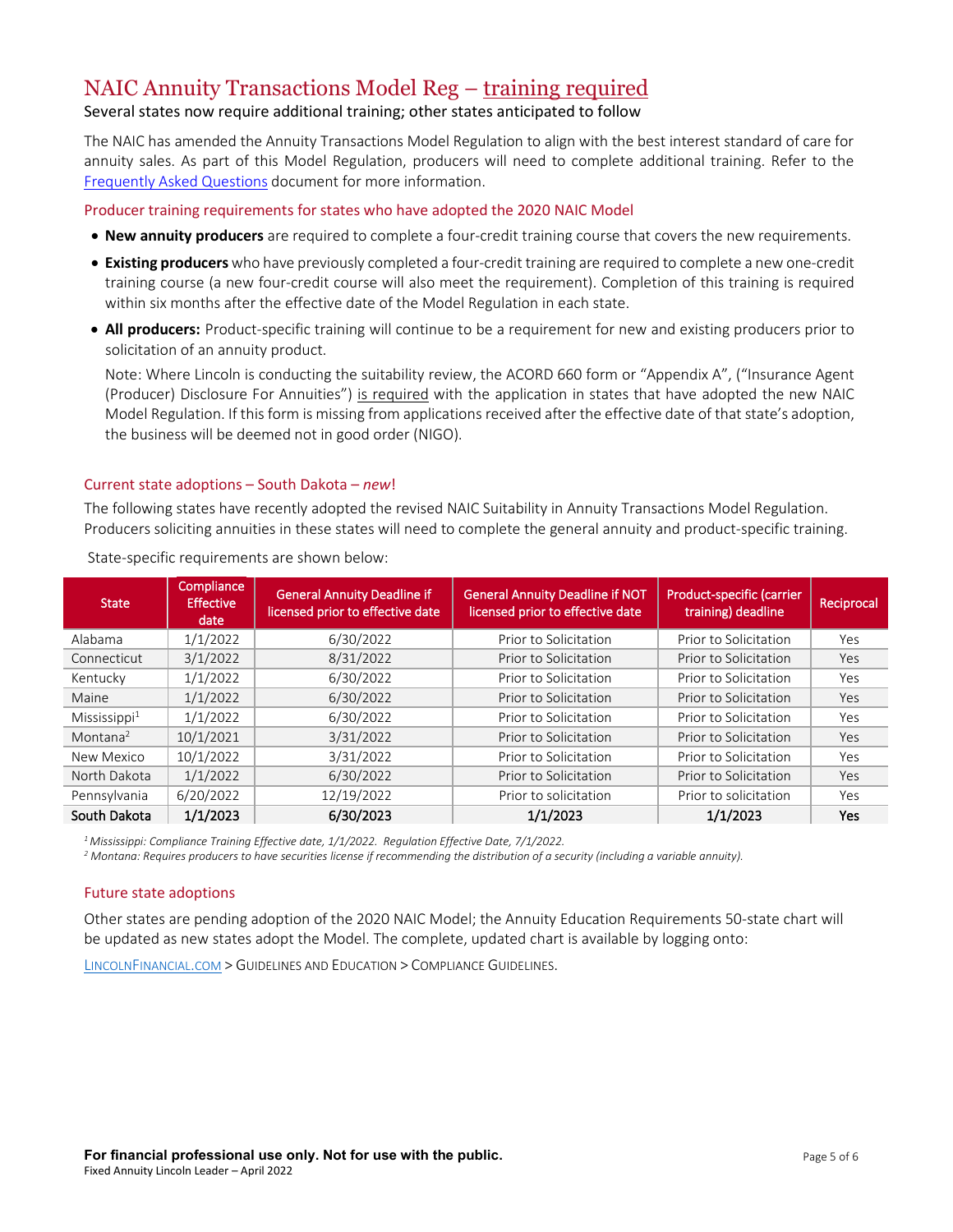# <span id="page-4-0"></span>NAIC Annuity Transactions Model Reg – training required Several states now require additional training; other states anticipated to follow

The NAIC has amended the Annuity Transactions Model Regulation to align with the best interest standard of care for annuity sales. As part of this Model Regulation, producers will need to complete additional training. Refer to the [Frequently Asked Questions](https://www.lfg.com/wcs-static/pdf/Regulatory%20-%20NAIC%20FAQ%20PDF.pdf) document for more information.

Producer training requirements for states who have adopted the 2020 NAIC Model

- **New annuity producers** are required to complete a four-credit training course that covers the new requirements.
- **Existing producers**who have previously completed a four-credit training are required to complete a new one-credit training course (a new four-credit course will also meet the requirement). Completion of this training is required within six months after the effective date of the Model Regulation in each state.
- **All producers:** Product-specific training will continue to be a requirement for new and existing producers prior to solicitation of an annuity product.

Note: Where Lincoln is conducting the suitability review, the ACORD 660 form or "Appendix A", ("Insurance Agent (Producer) Disclosure For Annuities") is required with the application in states that have adopted the new NAIC Model Regulation. If this form is missing from applications received after the effective date of that state's adoption, the business will be deemed not in good order (NIGO).

#### Current state adoptions – South Dakota – *new*!

The following states have recently adopted the revised NAIC Suitability in Annuity Transactions Model Regulation. Producers soliciting annuities in these states will need to complete the general annuity and product-specific training.

| <b>State</b>              | Compliance<br><b>Effective</b><br>date | <b>General Annuity Deadline if</b><br>licensed prior to effective date | <b>General Annuity Deadline if NOT</b><br>licensed prior to effective date | Product-specific (carrier<br>training) deadline | Reciprocal |
|---------------------------|----------------------------------------|------------------------------------------------------------------------|----------------------------------------------------------------------------|-------------------------------------------------|------------|
| Alabama                   | 1/1/2022                               | 6/30/2022                                                              | Prior to Solicitation                                                      | Prior to Solicitation                           | Yes        |
| Connecticut               | 3/1/2022                               | 8/31/2022                                                              | Prior to Solicitation                                                      | Prior to Solicitation                           | Yes        |
| Kentucky                  | 1/1/2022                               | 6/30/2022                                                              | Prior to Solicitation                                                      | Prior to Solicitation                           | Yes        |
| Maine                     | 1/1/2022                               | 6/30/2022                                                              | Prior to Solicitation                                                      | Prior to Solicitation                           | Yes        |
| Missisisippi <sup>1</sup> | 1/1/2022                               | 6/30/2022                                                              | Prior to Solicitation                                                      | Prior to Solicitation                           | Yes        |
| Montana <sup>2</sup>      | 10/1/2021                              | 3/31/2022                                                              | Prior to Solicitation                                                      | Prior to Solicitation                           | Yes        |
| New Mexico                | 10/1/2022                              | 3/31/2022                                                              | Prior to Solicitation                                                      | Prior to Solicitation                           | Yes        |
| North Dakota              | 1/1/2022                               | 6/30/2022                                                              | Prior to Solicitation                                                      | Prior to Solicitation                           | Yes        |
| Pennsylvania              | 6/20/2022                              | 12/19/2022                                                             | Prior to solicitation                                                      | Prior to solicitation                           | Yes        |
| South Dakota              | 1/1/2023                               | 6/30/2023                                                              | 1/1/2023                                                                   | 1/1/2023                                        | Yes        |

State-specific requirements are shown below:

*1 Mississippi: Compliance Training Effective date, 1/1/2022. Regulation Effective Date, 7/1/2022.*

*<sup>2</sup> Montana: Requires producers to have securities license if recommending the distribution of a security (including a variable annuity).* 

#### Future state adoptions

Other states are pending adoption of the 2020 NAIC Model; the Annuity Education Requirements 50-state chart will be updated as new states adopt the Model. The complete, updated chart is available by logging onto:

[LINCOLNFINANCIAL.COM](https://www.lfg.com/public/industryprofessional) > GUIDELINES AND EDUCATION > COMPLIANCE GUIDELINES.